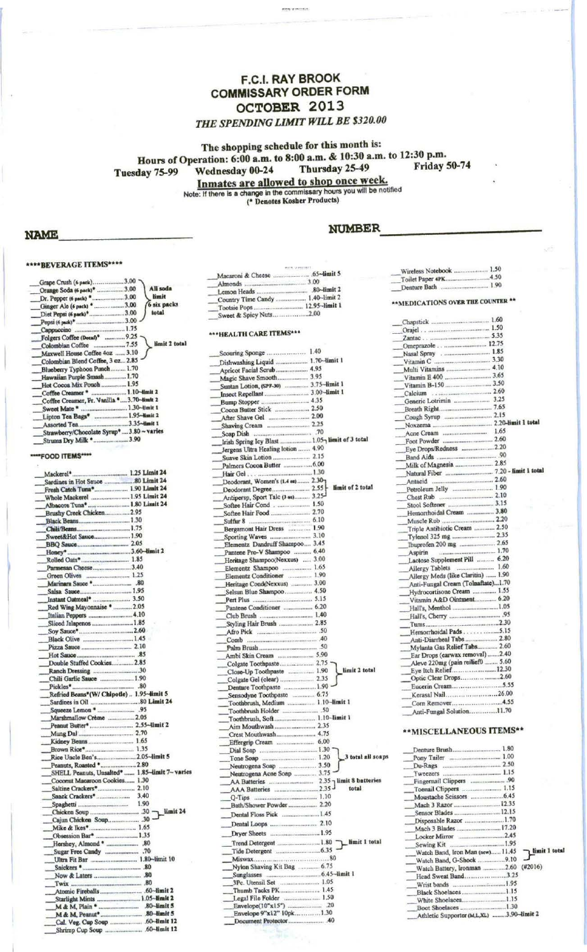## **F.C.I. RAY BROOK COMMISSARY ORDER FORM** OCTOBER 2013 THE SPENDING LIMIT WILL BE \$320.00

ener werken

The shopping schedule for this month is:

Hours of Operation: 6:00 a.m. to 8:00 a.m. & 10:30 a.m. to 12:30 p.m.

Thursday 25-49 Wednesday 00-24 Tuesday 75-99

**Friday 50-74** 

Inmates are allowed to shop once week.<br>Note: If there is a change in the commissary hours you will be notified<br>(\* Denotes Kosher Products)

### **NAME**

# \*\*\*\* BEVERAGE ITEMS\*\*\*\*

| Grape Crush (6 pack)3.00<br>Orange Soda (6 pack) <sup>*</sup> 3.00<br>All soda<br>limit<br>Dr. Pepper (6 pack) * 3.00<br>6 six packs<br>Ginger Ale (6 pack) *3.00<br>total<br>Diet Pepsi (6 pack) <sup>*</sup> 3.00<br>Cappuccino  1.75<br>limit 2 total<br>Maxwell House Coffee 4oz 3.10<br>Colombian Blend Coffee, 3 oz 2.85<br>Blueberry Typhoon Punch 1.70<br>Hawaiian Purple Smash 1.70<br>Hot Cocoa Mix Pouch  1.95<br>Coffee Creamer *  1.10-limit 2 |
|-------------------------------------------------------------------------------------------------------------------------------------------------------------------------------------------------------------------------------------------------------------------------------------------------------------------------------------------------------------------------------------------------------------------------------------------------------------|
|                                                                                                                                                                                                                                                                                                                                                                                                                                                             |
|                                                                                                                                                                                                                                                                                                                                                                                                                                                             |
|                                                                                                                                                                                                                                                                                                                                                                                                                                                             |
|                                                                                                                                                                                                                                                                                                                                                                                                                                                             |
|                                                                                                                                                                                                                                                                                                                                                                                                                                                             |
|                                                                                                                                                                                                                                                                                                                                                                                                                                                             |
|                                                                                                                                                                                                                                                                                                                                                                                                                                                             |
|                                                                                                                                                                                                                                                                                                                                                                                                                                                             |
|                                                                                                                                                                                                                                                                                                                                                                                                                                                             |
|                                                                                                                                                                                                                                                                                                                                                                                                                                                             |
|                                                                                                                                                                                                                                                                                                                                                                                                                                                             |
|                                                                                                                                                                                                                                                                                                                                                                                                                                                             |
|                                                                                                                                                                                                                                                                                                                                                                                                                                                             |
|                                                                                                                                                                                                                                                                                                                                                                                                                                                             |
| Coffee Creamer, Fr. Vanilla 3.70-limit 2                                                                                                                                                                                                                                                                                                                                                                                                                    |
| Sweet Mate *  1.30-limit 1                                                                                                                                                                                                                                                                                                                                                                                                                                  |
|                                                                                                                                                                                                                                                                                                                                                                                                                                                             |
|                                                                                                                                                                                                                                                                                                                                                                                                                                                             |
| Strawberry/Chocolate Syrup*3.80~varies                                                                                                                                                                                                                                                                                                                                                                                                                      |
| Strums Dry Milk *3.90                                                                                                                                                                                                                                                                                                                                                                                                                                       |
|                                                                                                                                                                                                                                                                                                                                                                                                                                                             |
|                                                                                                                                                                                                                                                                                                                                                                                                                                                             |
| "FOOD ITEMS"***                                                                                                                                                                                                                                                                                                                                                                                                                                             |
|                                                                                                                                                                                                                                                                                                                                                                                                                                                             |
|                                                                                                                                                                                                                                                                                                                                                                                                                                                             |
|                                                                                                                                                                                                                                                                                                                                                                                                                                                             |
| Fresh Catch Tuna* 1.90 Limit 24                                                                                                                                                                                                                                                                                                                                                                                                                             |
| Whole Mackerel  1.95 Limit 24                                                                                                                                                                                                                                                                                                                                                                                                                               |
| Albacore Tuna*  1.80 Limit 24                                                                                                                                                                                                                                                                                                                                                                                                                               |
| Brushy Creek Chicken 2.95                                                                                                                                                                                                                                                                                                                                                                                                                                   |
| Black Beans 1.30                                                                                                                                                                                                                                                                                                                                                                                                                                            |
| Chili/Beans 1.75                                                                                                                                                                                                                                                                                                                                                                                                                                            |
| Sweet&Hot Sauce 1.90                                                                                                                                                                                                                                                                                                                                                                                                                                        |
|                                                                                                                                                                                                                                                                                                                                                                                                                                                             |
|                                                                                                                                                                                                                                                                                                                                                                                                                                                             |
|                                                                                                                                                                                                                                                                                                                                                                                                                                                             |
| Parmesan Cheese3.40                                                                                                                                                                                                                                                                                                                                                                                                                                         |
|                                                                                                                                                                                                                                                                                                                                                                                                                                                             |
|                                                                                                                                                                                                                                                                                                                                                                                                                                                             |
| Salsa Sauce 1.95                                                                                                                                                                                                                                                                                                                                                                                                                                            |
| Instant Oatmeal*  3.50                                                                                                                                                                                                                                                                                                                                                                                                                                      |
| Red Wing Mayonnaise *  2.05                                                                                                                                                                                                                                                                                                                                                                                                                                 |
| Italian Peppers  4.10                                                                                                                                                                                                                                                                                                                                                                                                                                       |
| Sliced Jalapenos  1.85                                                                                                                                                                                                                                                                                                                                                                                                                                      |
|                                                                                                                                                                                                                                                                                                                                                                                                                                                             |
| Black Olive 1.45                                                                                                                                                                                                                                                                                                                                                                                                                                            |
|                                                                                                                                                                                                                                                                                                                                                                                                                                                             |
|                                                                                                                                                                                                                                                                                                                                                                                                                                                             |
|                                                                                                                                                                                                                                                                                                                                                                                                                                                             |
| Double Stuffed Cookies 2.85                                                                                                                                                                                                                                                                                                                                                                                                                                 |
| Ranch Dressing 30                                                                                                                                                                                                                                                                                                                                                                                                                                           |
|                                                                                                                                                                                                                                                                                                                                                                                                                                                             |
| Chili Garlic Sauce  1.90                                                                                                                                                                                                                                                                                                                                                                                                                                    |
|                                                                                                                                                                                                                                                                                                                                                                                                                                                             |
| Refried Beans*(W/ Chipotle)  1.95~dimit 5                                                                                                                                                                                                                                                                                                                                                                                                                   |
|                                                                                                                                                                                                                                                                                                                                                                                                                                                             |
|                                                                                                                                                                                                                                                                                                                                                                                                                                                             |
| Marshmallow Crème  2.05                                                                                                                                                                                                                                                                                                                                                                                                                                     |
|                                                                                                                                                                                                                                                                                                                                                                                                                                                             |
|                                                                                                                                                                                                                                                                                                                                                                                                                                                             |
|                                                                                                                                                                                                                                                                                                                                                                                                                                                             |
|                                                                                                                                                                                                                                                                                                                                                                                                                                                             |
|                                                                                                                                                                                                                                                                                                                                                                                                                                                             |
| Peanuts, Roasted * 2.80                                                                                                                                                                                                                                                                                                                                                                                                                                     |
| SHELL Peanuts, Unsalted*  1.85-limit 7~ varies                                                                                                                                                                                                                                                                                                                                                                                                              |
| Coconut Macaroon Cookies 1.30                                                                                                                                                                                                                                                                                                                                                                                                                               |
|                                                                                                                                                                                                                                                                                                                                                                                                                                                             |
|                                                                                                                                                                                                                                                                                                                                                                                                                                                             |
|                                                                                                                                                                                                                                                                                                                                                                                                                                                             |
| $\frac{1}{2}$ limit 24                                                                                                                                                                                                                                                                                                                                                                                                                                      |
| Cajun Chicken Soup 30 .                                                                                                                                                                                                                                                                                                                                                                                                                                     |
|                                                                                                                                                                                                                                                                                                                                                                                                                                                             |
|                                                                                                                                                                                                                                                                                                                                                                                                                                                             |
| Obsession Bar*  1.35                                                                                                                                                                                                                                                                                                                                                                                                                                        |
|                                                                                                                                                                                                                                                                                                                                                                                                                                                             |
|                                                                                                                                                                                                                                                                                                                                                                                                                                                             |
|                                                                                                                                                                                                                                                                                                                                                                                                                                                             |
|                                                                                                                                                                                                                                                                                                                                                                                                                                                             |
|                                                                                                                                                                                                                                                                                                                                                                                                                                                             |
|                                                                                                                                                                                                                                                                                                                                                                                                                                                             |
|                                                                                                                                                                                                                                                                                                                                                                                                                                                             |
| __Starlight Mints  1.05-limit 2                                                                                                                                                                                                                                                                                                                                                                                                                             |
|                                                                                                                                                                                                                                                                                                                                                                                                                                                             |
|                                                                                                                                                                                                                                                                                                                                                                                                                                                             |

| 65-limit 5                         |
|------------------------------------|
| 3.00                               |
| 80-limit 2<br>Lemon Heads          |
| 1.40-limit 2<br>Country Time Candy |
| 12.95-limit 1                      |
|                                    |
|                                    |

# \*\*\* HEALTH CARE ITEMS\*\*\*

| Scouring Sponge  1.40                                                               |
|-------------------------------------------------------------------------------------|
| Dishwashing Liquid  1.70-limit 1                                                    |
| Apricot Facial Scrub 4.95<br>Magic Shave Smooth 3.95                                |
| Suntan Lotion, (SPF-30)  3.75-limit 1                                               |
|                                                                                     |
|                                                                                     |
| Cocoa Butter Stick  2.50                                                            |
|                                                                                     |
| Shaving Cream  2.25                                                                 |
|                                                                                     |
| Irish Spring Icy Blast  1.05 limit of 3 total<br>Jergens Ultra Healing lotion  4.90 |
|                                                                                     |
|                                                                                     |
|                                                                                     |
| Deodorant, Women's (1.4 ex) 2.30-                                                   |
| limit of 2 total                                                                    |
| Antipersp, Sport Talc (3 oz) 3.25-                                                  |
| Softee Hair Cond 1.50                                                               |
|                                                                                     |
|                                                                                     |
| Bergamont Hair Dress  1.90                                                          |
| Elementz Dandruff Shampoo 3.45                                                      |
| Pantene Pro-V Shampoo  6.40                                                         |
| Heritage Shampoo(Nexxus)  3.00                                                      |
| Elementz Shampoo  1.65                                                              |
| Elementz Conditioner  1.90                                                          |
| Heritage Cond(Nexxus)  3.00                                                         |
| Selsun Blue Shampoo  4.50                                                           |
|                                                                                     |
| Club Brush  1.40                                                                    |
| Styling Hair Brush  2.85                                                            |
|                                                                                     |
|                                                                                     |
|                                                                                     |
|                                                                                     |
| Colgate Toothpaste 2.75                                                             |
| limit 2 total<br>Close-Up Toothpaste  1.90                                          |
| Denture Toothpaste  1.90                                                            |
| Sensodyne Toothpaste  6.75                                                          |
| Toothbrush, Medium  1.10-limit 1                                                    |
|                                                                                     |
| Toothbrush, Soft 1.10-limit 1                                                       |
|                                                                                     |
| Crest Mouthwash 4.75                                                                |
|                                                                                     |
| Dial Soap  1.30<br>3 total all soaps                                                |
| Neutrogena Soap  3.50                                                               |
| Neutrogena Acne Soap  3.75                                                          |
|                                                                                     |
| total                                                                               |
|                                                                                     |
| Bath/Shower Powder 2.20                                                             |
| Dental Floss Pick  1.45                                                             |
|                                                                                     |
|                                                                                     |
| limit 1 total<br>Trend Detergent  1.80                                              |
|                                                                                     |
|                                                                                     |
| Nylon Shaving Kit Bag  6.75                                                         |
|                                                                                     |
| 3Pc. Utensil Set  1.05                                                              |
| Legal File Folder  1.50                                                             |
|                                                                                     |
| Envelope 9"x12" 10pk1.30                                                            |
|                                                                                     |
|                                                                                     |

### **NUMBER**

| Wireless Notebook  1.50            |  |
|------------------------------------|--|
|                                    |  |
|                                    |  |
|                                    |  |
| ** MEDICATIONS OVER THE COUNTER ** |  |
|                                    |  |
|                                    |  |
|                                    |  |
| Omeprazole 12.75                   |  |
| Nasal Spray 1.85                   |  |
|                                    |  |
|                                    |  |
|                                    |  |
|                                    |  |
| Calcium 2.60                       |  |
| Generic Lotrimin  3.25             |  |
|                                    |  |
|                                    |  |
|                                    |  |
|                                    |  |
|                                    |  |
|                                    |  |
|                                    |  |
|                                    |  |
|                                    |  |
|                                    |  |
|                                    |  |
| Petroleum Jelly  1.90              |  |
|                                    |  |
|                                    |  |
| Hemorrhoidal Cream  3.80           |  |
|                                    |  |
| Triple Antibiotic Cream  2.50      |  |
|                                    |  |
|                                    |  |
|                                    |  |
| Lactose Supplement Pill  6.20      |  |
| Allergy Tablets  1.60              |  |
| Allergy Meds (like Claritin)  1.90 |  |
| Anti-Fungal Cream (Tolnaftate)1.70 |  |
| Hydrocortisone Cream  1.55         |  |
| Vitamin A&D Ointment 6.20          |  |
|                                    |  |
|                                    |  |
|                                    |  |
| Hemorrhoidal Pads 5.15             |  |
|                                    |  |
| Mylanta Gas Relief Tabs 2.60       |  |
| Ear Drops (earwax removal) 2.40    |  |
| Aleve 220mg (pain reilief0  5.60   |  |
| Eye Itch Relief12.30               |  |
|                                    |  |
|                                    |  |
| Kerasal Nail26.00                  |  |
| Corn Remover4.55                   |  |
| Anti-Fungal Solution11.70          |  |
|                                    |  |
|                                    |  |

# \*\*MISCELLANEOUS ITEMS\*\*

| Toenail Clippers  1.15                   |               |
|------------------------------------------|---------------|
|                                          |               |
| Mach 3 Razor  12.35                      |               |
| Sensor Blades  12.15                     |               |
| Disposable Razor 1.70                    |               |
| Mach 3 Blades  17.20                     |               |
|                                          |               |
|                                          |               |
| Watch Band, Iron Man (new)11.45          | limit 1 total |
| Watch Band, G-Shock 9.10                 |               |
| Watch Battery, Ironman 2.60 (#2016)      |               |
| Head Sweat Band3.25                      |               |
| Wrist bands 1.95                         |               |
| Black Shoelaces1.15                      |               |
| White Shoelaces1.15                      |               |
| Boot Shoelaces 1.30                      |               |
| Athletic Supporter (M,L,XL) 3.90~limit 2 |               |